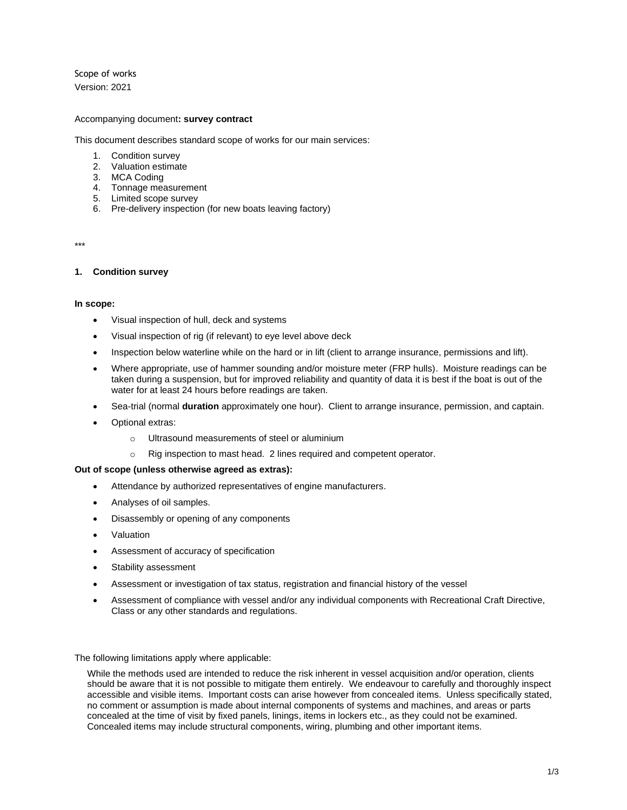Scope of works Version: 2021

### Accompanying document**: survey contract**

This document describes standard scope of works for our main services:

- 1. Condition survey
- 2. Valuation estimate
- 3. MCA Coding
- 4. Tonnage measurement
- 5. Limited scope survey
- 6. Pre-delivery inspection (for new boats leaving factory)

\*\*\*

### **1. Condition survey**

#### **In scope:**

- Visual inspection of hull, deck and systems
- Visual inspection of rig (if relevant) to eye level above deck
- Inspection below waterline while on the hard or in lift (client to arrange insurance, permissions and lift).
- Where appropriate, use of hammer sounding and/or moisture meter (FRP hulls). Moisture readings can be taken during a suspension, but for improved reliability and quantity of data it is best if the boat is out of the water for at least 24 hours before readings are taken.
- Sea-trial (normal **duration** approximately one hour). Client to arrange insurance, permission, and captain.
- Optional extras:
	- o Ultrasound measurements of steel or aluminium
	- o Rig inspection to mast head. 2 lines required and competent operator.

## **Out of scope (unless otherwise agreed as extras):**

- Attendance by authorized representatives of engine manufacturers.
- Analyses of oil samples.
- Disassembly or opening of any components
- **Valuation**
- Assessment of accuracy of specification
- Stability assessment
- Assessment or investigation of tax status, registration and financial history of the vessel
- Assessment of compliance with vessel and/or any individual components with Recreational Craft Directive, Class or any other standards and regulations.

The following limitations apply where applicable:

While the methods used are intended to reduce the risk inherent in vessel acquisition and/or operation, clients should be aware that it is not possible to mitigate them entirely. We endeavour to carefully and thoroughly inspect accessible and visible items. Important costs can arise however from concealed items. Unless specifically stated, no comment or assumption is made about internal components of systems and machines, and areas or parts concealed at the time of visit by fixed panels, linings, items in lockers etc., as they could not be examined. Concealed items may include structural components, wiring, plumbing and other important items.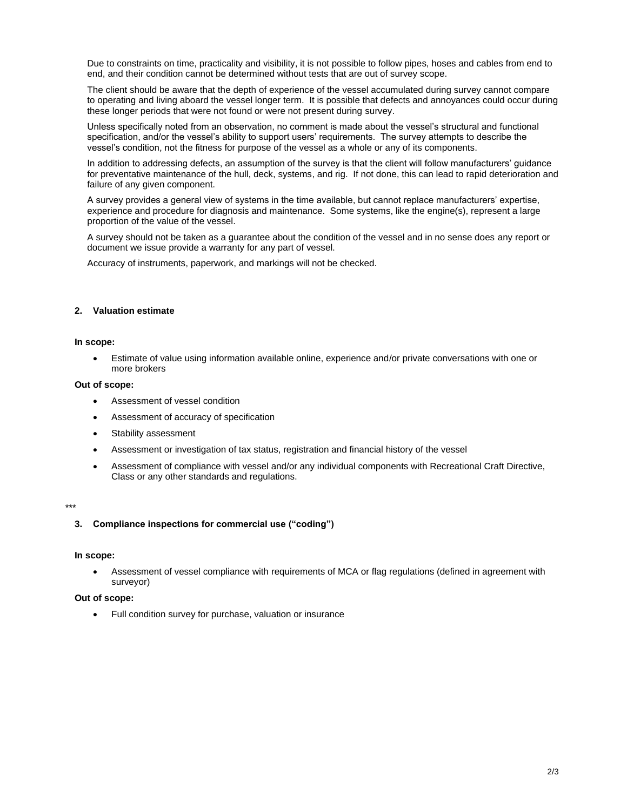Due to constraints on time, practicality and visibility, it is not possible to follow pipes, hoses and cables from end to end, and their condition cannot be determined without tests that are out of survey scope.

The client should be aware that the depth of experience of the vessel accumulated during survey cannot compare to operating and living aboard the vessel longer term. It is possible that defects and annoyances could occur during these longer periods that were not found or were not present during survey.

Unless specifically noted from an observation, no comment is made about the vessel's structural and functional specification, and/or the vessel's ability to support users' requirements. The survey attempts to describe the vessel's condition, not the fitness for purpose of the vessel as a whole or any of its components.

In addition to addressing defects, an assumption of the survey is that the client will follow manufacturers' guidance for preventative maintenance of the hull, deck, systems, and rig. If not done, this can lead to rapid deterioration and failure of any given component.

A survey provides a general view of systems in the time available, but cannot replace manufacturers' expertise, experience and procedure for diagnosis and maintenance. Some systems, like the engine(s), represent a large proportion of the value of the vessel.

A survey should not be taken as a guarantee about the condition of the vessel and in no sense does any report or document we issue provide a warranty for any part of vessel.

Accuracy of instruments, paperwork, and markings will not be checked.

#### **2. Valuation estimate**

#### **In scope:**

• Estimate of value using information available online, experience and/or private conversations with one or more brokers

### **Out of scope:**

- Assessment of vessel condition
- Assessment of accuracy of specification
- Stability assessment
- Assessment or investigation of tax status, registration and financial history of the vessel
- Assessment of compliance with vessel and/or any individual components with Recreational Craft Directive, Class or any other standards and regulations.

#### \*\*\*

### **3. Compliance inspections for commercial use ("coding")**

#### **In scope:**

• Assessment of vessel compliance with requirements of MCA or flag regulations (defined in agreement with surveyor)

#### **Out of scope:**

Full condition survey for purchase, valuation or insurance